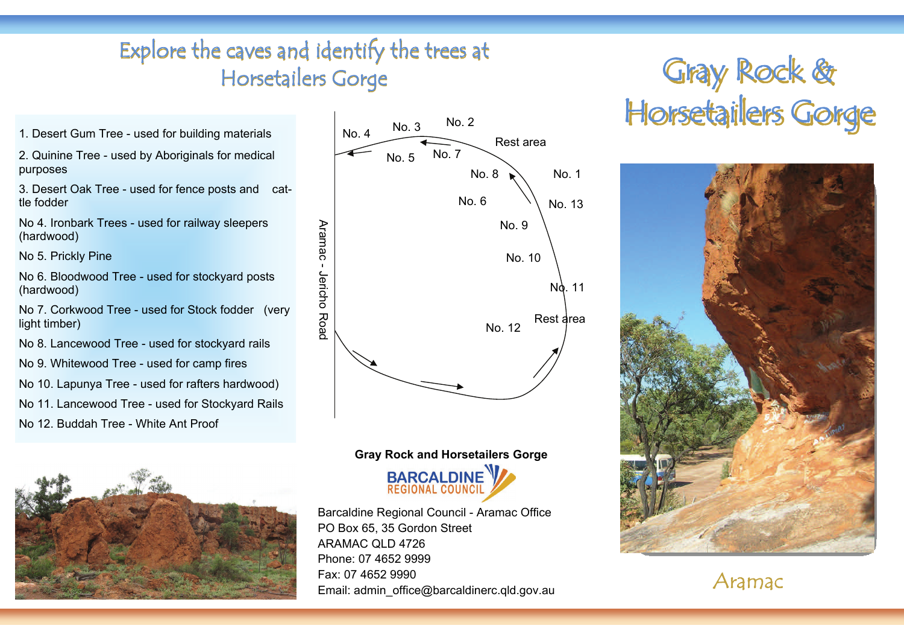## Explore the caves and identify the trees at  $\qquad \qquad \qquad$  Gray Rock & Equesting Rock & Explore the caves and identify the trees at Horsetailers Gorge

2. Quinine Tree - used by Aboriginals for medical purposes

3. Desert Oak Tree - used for fence posts and cattle fodder

No 4. Ironbark Trees - used for railway sleepers (hardwood)

No 5. Prickly Pine

No 6. Bloodwood Tree - used for stockyard posts (hardwood)

No 7. Corkwood Tree - used for Stock fodder (very light timber)

No 8. Lancewood Tree - used for stockyard rails

No 9. Whitewood Tree - used for camp fires

No 10. Lapunya Tree - used for rafters hardwood)

No 11. Lancewood Tree - used for Stockyard Rails

No 12. Buddah Tree - White Ant Proof





# **Gray Rock and Horsetailers Gorge BARCALDINE**

**REGIONAL COUNCI** 

Barcaldine Regional Council - Aramac Office PO Box 65, 35 Gordon Street ARAMAC QLD 4726 Phone: 07 4652 9999 Fax: 07 4652 9990 Email: admin\_office@barcaldinerc.qld.gov.au

# Horsetailers Gorge



Aramac